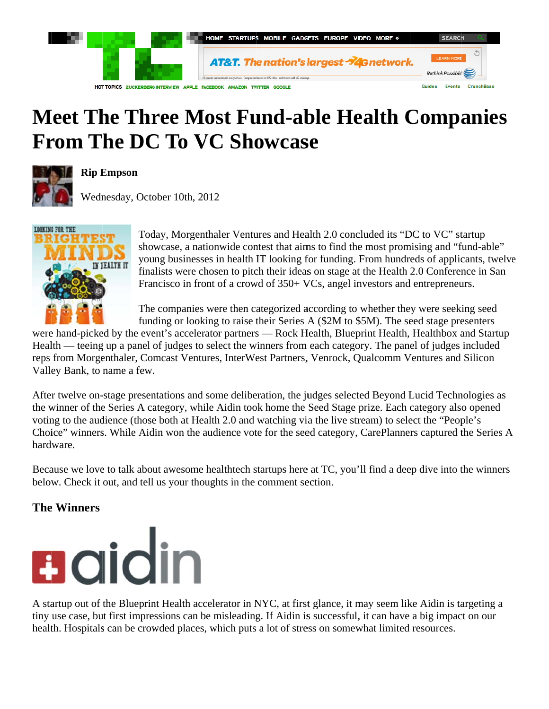

## **Meet The Three Most Fund-able Health Companies From The DC To VC Showcase**



#### **Rip Empson**

Wednesday, October 10th, 2012



Today, Morgenthaler Ventures and Health 2.0 concluded its "DC to VC" startup showcase, a nationwide contest that aims to find the most promising and "fund-able" young businesses in health IT looking for funding. From hundreds of applicants, twelve finalists were chosen to pitch their ideas on stage at the Health 2.0 Conference in San Francisco in front of a crowd of 350+ VCs, angel investors and entrepreneurs.

The companies were then categorized according to whether they were seeking seed funding or looking to raise their Series A (\$2M to \$5M). The seed stage presenters

were hand-picked by the event's accelerator partners — Rock Health, Blueprint Health, Healthbox and Startup Health — teeing up a panel of judges to select the winners from each category. The panel of judges included reps from Morgenthaler, Comcast Ventures, InterWest Partners, Venrock, Qualcomm Ventures and Silicon Valley Bank, to name a few.

After twelve on-stage presentations and some deliberation, the judges selected Beyond Lucid Technologies as the winner of the Series A category, while Aidin took home the Seed Stage prize. Each category also opened voting to the audience (those both at Health 2.0 and watching via the live stream) to select the "People's Choice" winners. While Aidin won the audience vote for the seed category, CarePlanners captured the Series A hardware.

Because we love to talk about awesome healthtech startups here at TC, you'll find a deep dive into the winners below. Check it out, and tell us your thoughts in the comment section.

### **The Winners**



A startup out of the Blueprint Health accelerator in NYC, at first glance, it may seem like Aidin is targeting a tiny use case, but first impressions can be misleading. If Aidin is successful, it can have a big impact on our health. Hospitals can be crowded places, which puts a lot of stress on somewhat limited resources.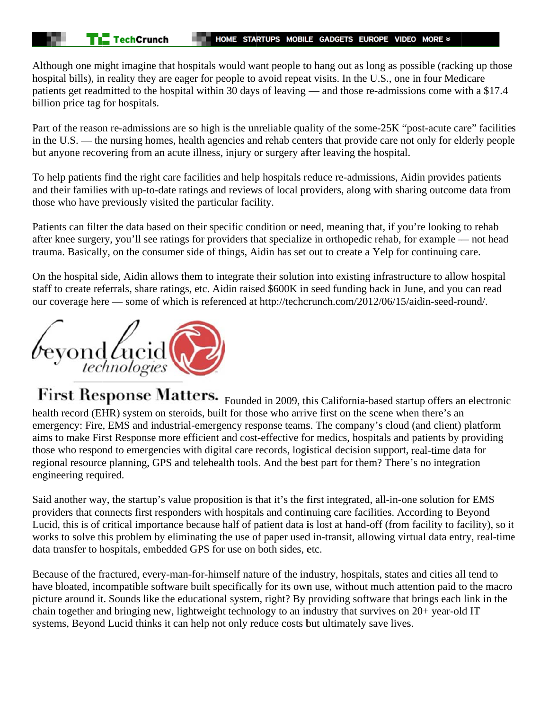Although one might imagine that hospitals would want people to hang out as long as possible (racking up those hospital bills), in reality they are eager for people to avoid repeat visits. In the U.S., one in four Medicare patients get readmitted to the hospital within 30 days of leaving — and those re-admissions come with a \$17.4 billion price tag for hospitals.

Part of the reason re-admissions are so high is the unreliable quality of the some-25K "post-acute care" facilities in the U.S. — the nursing homes, health agencies and rehab centers that provide care not only for elderly people but anyone recovering from an acute illness, injury or surgery after leaving the hospital.

To help patients find the right care facilities and help hospitals reduce re-admissions, Aidin provides patients and their families with up-to-date ratings and reviews of local providers, along with sharing outcome data from those who have previously visited the particular facility.

Patients can filter the data based on their specific condition or need, meaning that, if you're looking to rehab after knee surgery, you'll see ratings for providers that specialize in orthopedic rehab, for example — not head trauma. Basically, on the consumer side of things, Aidin has set out to create a Yelp for continuing care.

On the hospital side, Aidin allows them to integrate their solution into existing infrastructure to allow hospital staff to create referrals, share ratings, etc. Aidin raised \$600K in seed funding back in June, and you can read our coverage here — some of which is referenced at http://techcrunch.com/2012/06/15/aidin-seed-round/.



First Response Matters. Founded in 2009, this California-based startup offers an electronic health record (EHR) system on steroids, built for those who arrive first on the scene when there's an emergency: Fire, EMS and industrial-emergency response teams. The company's cloud (and client) platform aims to make First Response more efficient and cost-effective for medics, hospitals and patients by providing those who respond to emergencies with digital care records, logistical decision support, real-time data for regional resource planning, GPS and telehealth tools. And the best part for them? There's no integration engineering required.

Said another way, the startup's value proposition is that it's the first integrated, all-in-one solution for EMS providers that connects first responders with hospitals and continuing care facilities. According to Beyond Lucid, this is of critical importance because half of patient data is lost at hand-off (from facility to facility), so it works to solve this problem by eliminating the use of paper used in-transit, allowing virtual data entry, real-time data transfer to hospitals, embedded GPS for use on both sides, etc.

Because of the fractured, every-man-for-himself nature of the industry, hospitals, states and cities all tend to have bloated, incompatible software built specifically for its own use, without much attention paid to the macro picture around it. Sounds like the educational system, right? By providing software that brings each link in the chain together and bringing new, lightweight technology to an industry that survives on 20+ year-old IT systems, Beyond Lucid thinks it can help not only reduce costs but ultimately save lives.